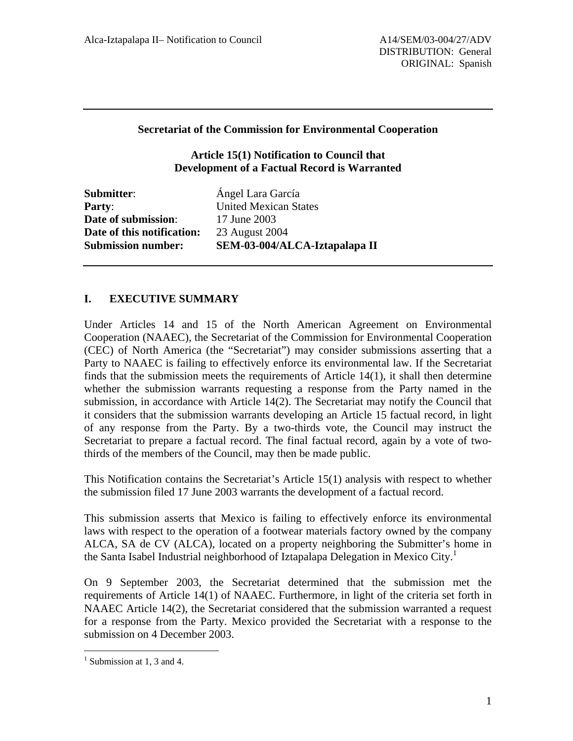### **Secretariat of the Commission for Environmental Cooperation**

### **Article 15(1) Notification to Council that Development of a Factual Record is Warranted**

| <b>Submitter:</b>          | Ángel Lara García             |
|----------------------------|-------------------------------|
| <b>Party:</b>              | <b>United Mexican States</b>  |
| Date of submission:        | 17 June 2003                  |
| Date of this notification: | 23 August 2004                |
| <b>Submission number:</b>  | SEM-03-004/ALCA-Iztapalapa II |
|                            |                               |

# **I. EXECUTIVE SUMMARY**

Under Articles 14 and 15 of the North American Agreement on Environmental Cooperation (NAAEC), the Secretariat of the Commission for Environmental Cooperation (CEC) of North America (the "Secretariat") may consider submissions asserting that a Party to NAAEC is failing to effectively enforce its environmental law. If the Secretariat finds that the submission meets the requirements of Article  $14(1)$ , it shall then determine whether the submission warrants requesting a response from the Party named in the submission, in accordance with Article 14(2). The Secretariat may notify the Council that it considers that the submission warrants developing an Article 15 factual record, in light of any response from the Party. By a two-thirds vote, the Council may instruct the Secretariat to prepare a factual record. The final factual record, again by a vote of twothirds of the members of the Council, may then be made public.

This Notification contains the Secretariat's Article 15(1) analysis with respect to whether the submission filed 17 June 2003 warrants the development of a factual record.

This submission asserts that Mexico is failing to effectively enforce its environmental laws with respect to the operation of a footwear materials factory owned by the company ALCA, SA de CV (ALCA), located on a property neighboring the Submitter's home in the Santa Isabel Industrial neighborhood of Iztapalapa Delegation in Mexico City.<sup>[1](#page-0-0)</sup>

On 9 September 2003, the Secretariat determined that the submission met the requirements of Article 14(1) of NAAEC. Furthermore, in light of the criteria set forth in NAAEC Article 14(2), the Secretariat considered that the submission warranted a request for a response from the Party. Mexico provided the Secretariat with a response to the submission on 4 December 2003.

 $\overline{a}$ 

<span id="page-0-0"></span><sup>&</sup>lt;sup>1</sup> Submission at 1, 3 and 4.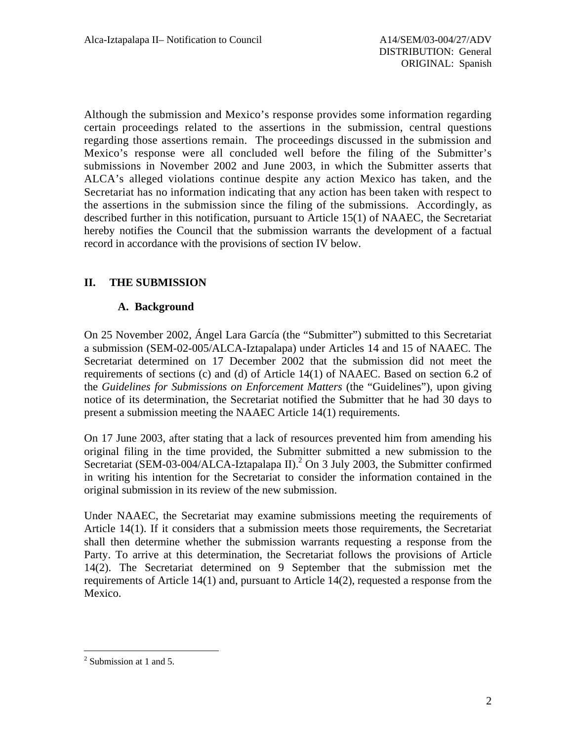Although the submission and Mexico's response provides some information regarding certain proceedings related to the assertions in the submission, central questions regarding those assertions remain. The proceedings discussed in the submission and Mexico's response were all concluded well before the filing of the Submitter's submissions in November 2002 and June 2003, in which the Submitter asserts that ALCA's alleged violations continue despite any action Mexico has taken, and the Secretariat has no information indicating that any action has been taken with respect to the assertions in the submission since the filing of the submissions. Accordingly, as described further in this notification, pursuant to Article 15(1) of NAAEC, the Secretariat hereby notifies the Council that the submission warrants the development of a factual record in accordance with the provisions of section IV below.

# **II. THE SUBMISSION**

## **A. Background**

On 25 November 2002, Ángel Lara García (the "Submitter") submitted to this Secretariat a submission (SEM-02-005/ALCA-Iztapalapa) under Articles 14 and 15 of NAAEC. The Secretariat determined on 17 December 2002 that the submission did not meet the requirements of sections (c) and (d) of Article 14(1) of NAAEC. Based on section 6.2 of the *Guidelines for Submissions on Enforcement Matters* (the "Guidelines"), upon giving notice of its determination, the Secretariat notified the Submitter that he had 30 days to present a submission meeting the NAAEC Article 14(1) requirements.

On 17 June 2003, after stating that a lack of resources prevented him from amending his original filing in the time provided, the Submitter submitted a new submission to the Secretariat (SEM-03-004/ALCA-Iztapalapa II).<sup>2</sup> On 3 July 2003, the Submitter confirmed in writing his intention for the Secretariat to consider the information contained in the original submission in its review of the new submission.

Under NAAEC, the Secretariat may examine submissions meeting the requirements of Article 14(1). If it considers that a submission meets those requirements, the Secretariat shall then determine whether the submission warrants requesting a response from the Party. To arrive at this determination, the Secretariat follows the provisions of Article 14(2). The Secretariat determined on 9 September that the submission met the requirements of Article 14(1) and, pursuant to Article 14(2), requested a response from the Mexico.

<span id="page-1-0"></span> $\overline{a}$  $2$  Submission at 1 and 5.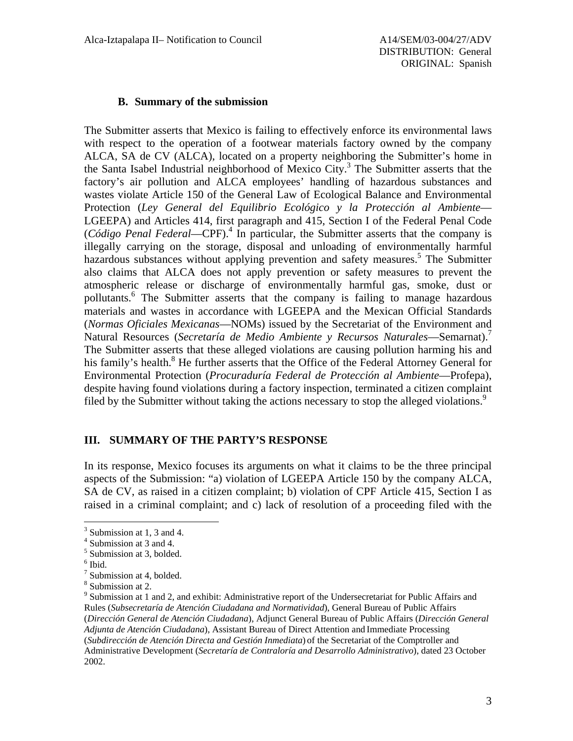#### **B. Summary of the submission**

The Submitter asserts that Mexico is failing to effectively enforce its environmental laws with respect to the operation of a footwear materials factory owned by the company ALCA, SA de CV (ALCA), located on a property neighboring the Submitter's home in the Santa Isabel Industrial neighborhood of Mexico City.<sup>[3](#page-2-0)</sup> The Submitter asserts that the factory's air pollution and ALCA employees' handling of hazardous substances and wastes violate Article 150 of the General Law of Ecological Balance and Environmental Protection (*Ley General del Equilibrio Ecológico y la Protección al Ambiente*— LGEEPA) and Articles 414, first paragraph and 415, Section I of the Federal Penal Code (*Código Penal Federal*—CPF).[4](#page-2-1) In particular, the Submitter asserts that the company is illegally carrying on the storage, disposal and unloading of environmentally harmful hazardous substances without applying prevention and safety measures.<sup>5</sup> The Submitter also claims that ALCA does not apply prevention or safety measures to prevent the atmospheric release or discharge of environmentally harmful gas, smoke, dust or pollutants.<sup>6</sup> The Submitter asserts that the company is failing to manage hazardous materials and wastes in accordance with LGEEPA and the Mexican Official Standards (*Normas Oficiales Mexicanas*—NOMs) issued by the Secretariat of the Environment and Natural Resources (*Secretaría de Medio Ambiente y Recursos Naturales*—Semarnat)[.7](#page-2-4) The Submitter asserts that these alleged violations are causing pollution harming his and his family's health.<sup>8</sup> He further asserts that the Office of the Federal Attorney General for Environmental Protection (*Procuraduría Federal de Protección al Ambiente*—Profepa), despite having found violations during a factory inspection, terminated a citizen complaint filed by the Submitter without taking the actions necessary to stop the alleged violations.<sup>[9](#page-2-6)</sup>

#### **III. SUMMARY OF THE PARTY'S RESPONSE**

In its response, Mexico focuses its arguments on what it claims to be the three principal aspects of the Submission: "a) violation of LGEEPA Article 150 by the company ALCA, SA de CV, as raised in a citizen complaint; b) violation of CPF Article 415, Section I as raised in a criminal complaint; and c) lack of resolution of a proceeding filed with the

<u>.</u>

<span id="page-2-0"></span> $\frac{3}{4}$  Submission at 1, 3 and 4.

<span id="page-2-1"></span> $4$  Submission at 3 and 4.

<span id="page-2-2"></span> $<sup>5</sup>$  Submission at 3, bolded.</sup>

<span id="page-2-3"></span> $<sup>6</sup>$  Ibid.</sup>

<span id="page-2-4"></span> $<sup>7</sup>$  Submission at 4, bolded.</sup>

<span id="page-2-5"></span><sup>&</sup>lt;sup>8</sup> Submission at 2.

<span id="page-2-6"></span><sup>&</sup>lt;sup>9</sup> Submission at 1 and 2, and exhibit: Administrative report of the Undersecretariat for Public Affairs and Rules (*Subsecretaría de Atención Ciudadana and Normatividad*), General Bureau of Public Affairs (*Dirección General de Atención Ciudadana*), Adjunct General Bureau of Public Affairs (*Dirección General Adjunta de Atención Ciudadana*), Assistant Bureau of Direct Attention and Immediate Processing (*Subdirección de Atención Directa and Gestión Inmediata*) of the Secretariat of the Comptroller and Administrative Development (*Secretaría de Contraloría and Desarrollo Administrativo*), dated 23 October 2002.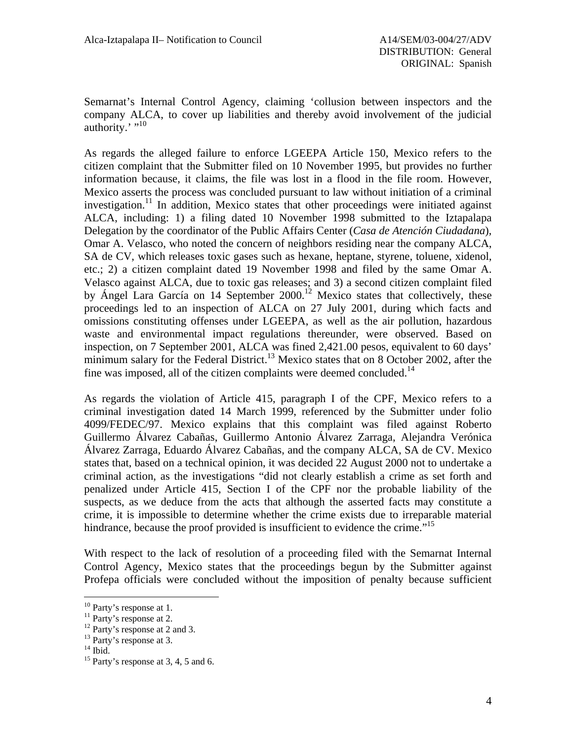Semarnat's Internal Control Agency, claiming 'collusion between inspectors and the company ALCA, to cover up liabilities and thereby avoid involvement of the judicial authority.' $^{\cdot\cdot\cdot10}$  $^{\cdot\cdot\cdot10}$  $^{\cdot\cdot\cdot10}$ 

As regards the alleged failure to enforce LGEEPA Article 150, Mexico refers to the citizen complaint that the Submitter filed on 10 November 1995, but provides no further information because, it claims, the file was lost in a flood in the file room. However, Mexico asserts the process was concluded pursuant to law without initiation of a criminal investigation.<sup>11</sup> In addition, Mexico states that other proceedings were initiated against ALCA, including: 1) a filing dated 10 November 1998 submitted to the Iztapalapa Delegation by the coordinator of the Public Affairs Center (*Casa de Atención Ciudadana*), Omar A. Velasco, who noted the concern of neighbors residing near the company ALCA, SA de CV, which releases toxic gases such as hexane, heptane, styrene, toluene, xidenol, etc.; 2) a citizen complaint dated 19 November 1998 and filed by the same Omar A. Velasco against ALCA, due to toxic gas releases; and 3) a second citizen complaint filed by Ángel Lara García on 14 September 2000.<sup>12</sup> Mexico states that collectively, these proceedings led to an inspection of ALCA on 27 July 2001, during which facts and omissions constituting offenses under LGEEPA, as well as the air pollution, hazardous waste and environmental impact regulations thereunder, were observed. Based on inspection, on 7 September 2001, ALCA was fined 2,421.00 pesos, equivalent to 60 days' minimum salary for the Federal District.<sup>13</sup> Mexico states that on 8 October 2002, after the fine was imposed, all of the citizen complaints were deemed concluded.<sup>[14](#page-3-4)</sup>

As regards the violation of Article 415, paragraph I of the CPF, Mexico refers to a criminal investigation dated 14 March 1999, referenced by the Submitter under folio 4099/FEDEC/97. Mexico explains that this complaint was filed against Roberto Guillermo Álvarez Cabañas, Guillermo Antonio Álvarez Zarraga, Alejandra Verónica Álvarez Zarraga, Eduardo Álvarez Cabañas, and the company ALCA, SA de CV. Mexico states that, based on a technical opinion, it was decided 22 August 2000 not to undertake a criminal action, as the investigations "did not clearly establish a crime as set forth and penalized under Article 415, Section I of the CPF nor the probable liability of the suspects, as we deduce from the acts that although the asserted facts may constitute a crime, it is impossible to determine whether the crime exists due to irreparable material hindrance, because the proof provided is insufficient to evidence the crime."<sup>[15](#page-3-5)</sup>

With respect to the lack of resolution of a proceeding filed with the Semarnat Internal Control Agency, Mexico states that the proceedings begun by the Submitter against Profepa officials were concluded without the imposition of penalty because sufficient

<span id="page-3-0"></span> $10$  Party's response at 1.

<span id="page-3-1"></span>

<span id="page-3-2"></span>

<span id="page-3-3"></span>

<span id="page-3-5"></span><span id="page-3-4"></span>

<sup>&</sup>lt;sup>11</sup> Party's response at 2.<br><sup>12</sup> Party's response at 2 and 3.<br><sup>13</sup> Party's response at 3, 4, 5 and 6.<br><sup>15</sup> Party's response at 3, 4, 5 and 6.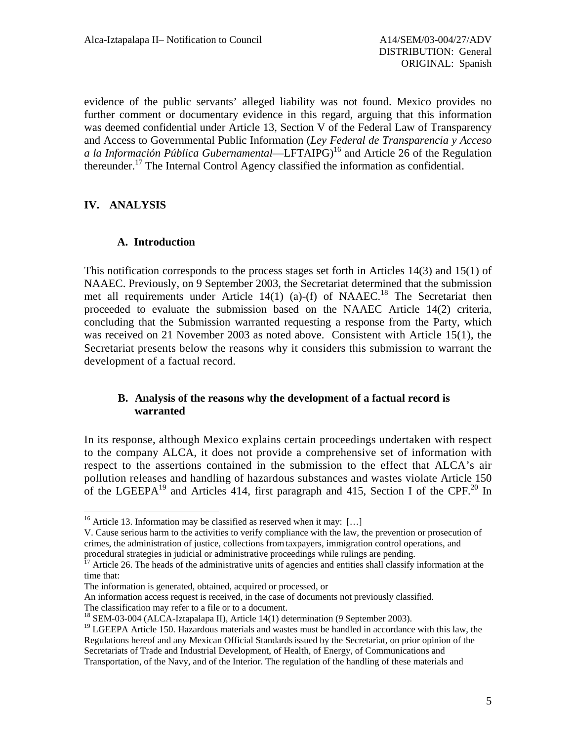evidence of the public servants' alleged liability was not found. Mexico provides no further comment or documentary evidence in this regard, arguing that this information was deemed confidential under Article 13, Section V of the Federal Law of Transparency and Access to Governmental Public Information (*Ley Federal de Transparencia y Acceso a la Información Pública Gubernamental*—LFTAIPG)[16](#page-4-0) and Article 26 of the Regulation thereunder.<sup>17</sup> The Internal Control Agency classified the information as confidential.

# **IV. ANALYSIS**

1

## **A. Introduction**

<span id="page-4-4"></span>This notification corresponds to the process stages set forth in Articles 14(3) and 15(1) of NAAEC. Previously, on 9 September 2003, the Secretariat determined that the submission met all requirements under Article 14(1) (a)-(f) of NAAEC.<sup>18</sup> The Secretariat then proceeded to evaluate the submission based on the NAAEC Article 14(2) criteria, concluding that the Submission warranted requesting a response from the Party, which was received on 21 November 2003 as noted above. Consistent with Article 15(1), the Secretariat presents below the reasons why it considers this submission to warrant the development of a factual record.

### **B. Analysis of the reasons why the development of a factual record is warranted**

In its response, although Mexico explains certain proceedings undertaken with respect to the company ALCA, it does not provide a comprehensive set of information with respect to the assertions contained in the submission to the effect that ALCA's air pollution releases and handling of hazardous substances and wastes violate Article 150 of the LGEEPA<sup>19</sup> and Articles 414, first paragraph and 415, Section I of the CPF.<sup>20</sup> In

<span id="page-4-2"></span>

<span id="page-4-0"></span><sup>&</sup>lt;sup>16</sup> Article 13. Information may be classified as reserved when it may: [...]

V. Cause serious harm to the activities to verify compliance with the law, the prevention or prosecution of crimes, the administration of justice, collections fromtaxpayers, immigration control operations, and

<span id="page-4-1"></span>Article 26. The heads of the administrative units of agencies and entities shall classify information at the time that:

The information is generated, obtained, acquired or processed, or

An information access request is received, in the case of documents not previously classified.

The classification may refer to a file or to a document.<br><sup>18</sup> SEM-03-004 (ALCA-Iztapalapa II), Article 14(1) determination (9 September 2003).

<span id="page-4-3"></span><sup>&</sup>lt;sup>19</sup> LGEEPA Article 150. Hazardous materials and wastes must be handled in accordance with this law, the Regulations hereof and any Mexican Official Standardsissued by the Secretariat, on prior opinion of the Secretariats of Trade and Industrial Development, of Health, of Energy, of Communications and Transportation, of the Navy, and of the Interior. The regulation of the handling of these materials and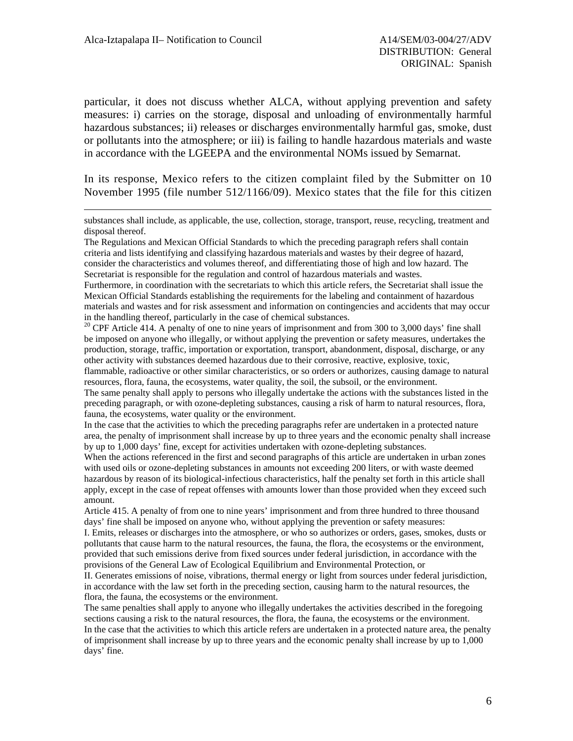$\overline{a}$ 

particular, it does not discuss whether ALCA, without applying prevention and safety measures: i) carries on the storage, disposal and unloading of environmentally harmful hazardous substances; ii) releases or discharges environmentally harmful gas, smoke, dust or pollutants into the atmosphere; or iii) is failing to handle hazardous materials and waste in accordance with the LGEEPA and the environmental NOMs issued by Semarnat.

In its response, Mexico refers to the citizen complaint filed by the Submitter on 10 November 1995 (file number 512/1166/09). Mexico states that the file for this citizen

The Regulations and Mexican Official Standards to which the preceding paragraph refers shall contain criteria and lists identifying and classifying hazardous materials and wastes by their degree of hazard, consider the characteristics and volumes thereof, and differentiating those of high and low hazard. The Secretariat is responsible for the regulation and control of hazardous materials and wastes.

Furthermore, in coordination with the secretariats to which this article refers, the Secretariat shall issue the Mexican Official Standards establishing the requirements for the labeling and containment of hazardous materials and wastes and for risk assessment and information on contingencies and accidents that may occur in the handling thereof, particularly in the case of chemical substances.<br><sup>20</sup> CPF Article 414. A penalty of one to nine years of imprisonment and from 300 to 3,000 days' fine shall

be imposed on anyone who illegally, or without applying the prevention or safety measures, undertakes the production, storage, traffic, importation or exportation, transport, abandonment, disposal, discharge, or any other activity with substances deemed hazardous due to their corrosive, reactive, explosive, toxic,

flammable, radioactive or other similar characteristics, or so orders or authorizes, causing damage to natural resources, flora, fauna, the ecosystems, water quality, the soil, the subsoil, or the environment.

The same penalty shall apply to persons who illegally undertake the actions with the substances listed in the preceding paragraph, or with ozone-depleting substances, causing a risk of harm to natural resources, flora, fauna, the ecosystems, water quality or the environment.

In the case that the activities to which the preceding paragraphs refer are undertaken in a protected nature area, the penalty of imprisonment shall increase by up to three years and the economic penalty shall increase by up to 1,000 days' fine, except for activities undertaken with ozone-depleting substances.

When the actions referenced in the first and second paragraphs of this article are undertaken in urban zones with used oils or ozone-depleting substances in amounts not exceeding 200 liters, or with waste deemed hazardous by reason of its biological-infectious characteristics, half the penalty set forth in this article shall apply, except in the case of repeat offenses with amounts lower than those provided when they exceed such amount.

Article 415. A penalty of from one to nine years' imprisonment and from three hundred to three thousand days' fine shall be imposed on anyone who, without applying the prevention or safety measures:

I. Emits, releases or discharges into the atmosphere, or who so authorizes or orders, gases, smokes, dusts or pollutants that cause harm to the natural resources, the fauna, the flora, the ecosystems or the environment, provided that such emissions derive from fixed sources under federal jurisdiction, in accordance with the provisions of the General Law of Ecological Equilibrium and Environmental Protection, or

II. Generates emissions of noise, vibrations, thermal energy or light from sources under federal jurisdiction, in accordance with the law set forth in the preceding section, causing harm to the natural resources, the flora, the fauna, the ecosystems or the environment.

The same penalties shall apply to anyone who illegally undertakes the activities described in the foregoing sections causing a risk to the natural resources, the flora, the fauna, the ecosystems or the environment. In the case that the activities to which this article refers are undertaken in a protected nature area, the penalty of imprisonment shall increase by up to three years and the economic penalty shall increase by up to 1,000 days' fine.

substances shall include, as applicable, the use, collection, storage, transport, reuse, recycling, treatment and disposal thereof.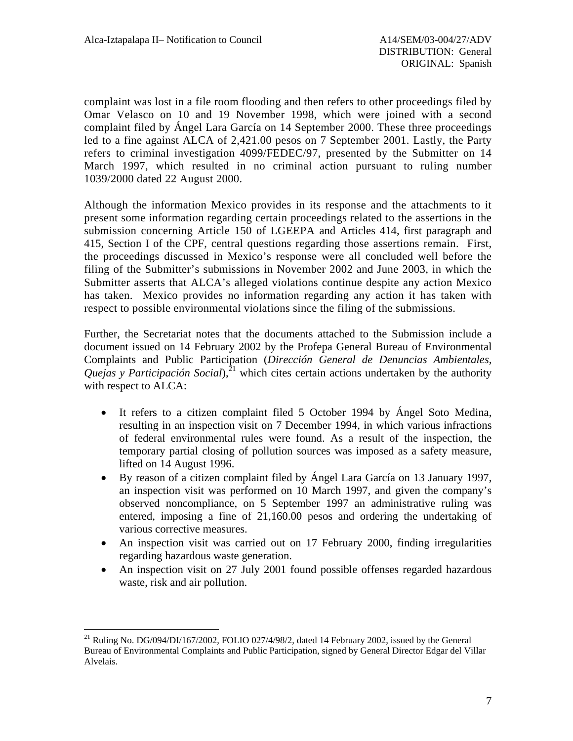complaint was lost in a file room flooding and then refers to other proceedings filed by Omar Velasco on 10 and 19 November 1998, which were joined with a second complaint filed by Ángel Lara García on 14 September 2000. These three proceedings led to a fine against ALCA of 2,421.00 pesos on 7 September 2001. Lastly, the Party refers to criminal investigation 4099/FEDEC/97, presented by the Submitter on 14 March 1997, which resulted in no criminal action pursuant to ruling number 1039/2000 dated 22 August 2000.

Although the information Mexico provides in its response and the attachments to it present some information regarding certain proceedings related to the assertions in the submission concerning Article 150 of LGEEPA and Articles 414, first paragraph and 415, Section I of the CPF, central questions regarding those assertions remain. First, the proceedings discussed in Mexico's response were all concluded well before the filing of the Submitter's submissions in November 2002 and June 2003, in which the Submitter asserts that ALCA's alleged violations continue despite any action Mexico has taken. Mexico provides no information regarding any action it has taken with respect to possible environmental violations since the filing of the submissions.

Further, the Secretariat notes that the documents attached to the Submission include a document issued on 14 February 2002 by the Profepa General Bureau of Environmental Complaints and Public Participation (*Dirección General de Denuncias Ambientales, Quejas y Participación Social*),<sup>21</sup> which cites certain actions undertaken by the authority with respect to ALCA:

- It refers to a citizen complaint filed 5 October 1994 by Ángel Soto Medina, resulting in an inspection visit on 7 December 1994, in which various infractions of federal environmental rules were found. As a result of the inspection, the temporary partial closing of pollution sources was imposed as a safety measure, lifted on 14 August 1996.
- By reason of a citizen complaint filed by Ángel Lara García on 13 January 1997, an inspection visit was performed on 10 March 1997, and given the company's observed noncompliance, on 5 September 1997 an administrative ruling was entered, imposing a fine of 21,160.00 pesos and ordering the undertaking of various corrective measures.
- An inspection visit was carried out on 17 February 2000, finding irregularities regarding hazardous waste generation.
- An inspection visit on 27 July 2001 found possible offenses regarded hazardous waste, risk and air pollution.

 $\overline{a}$ 

<span id="page-6-0"></span><sup>&</sup>lt;sup>21</sup> Ruling No. DG/094/DI/167/2002, FOLIO 027/4/98/2, dated 14 February 2002, issued by the General Bureau of Environmental Complaints and Public Participation, signed by General Director Edgar del Villar Alvelais.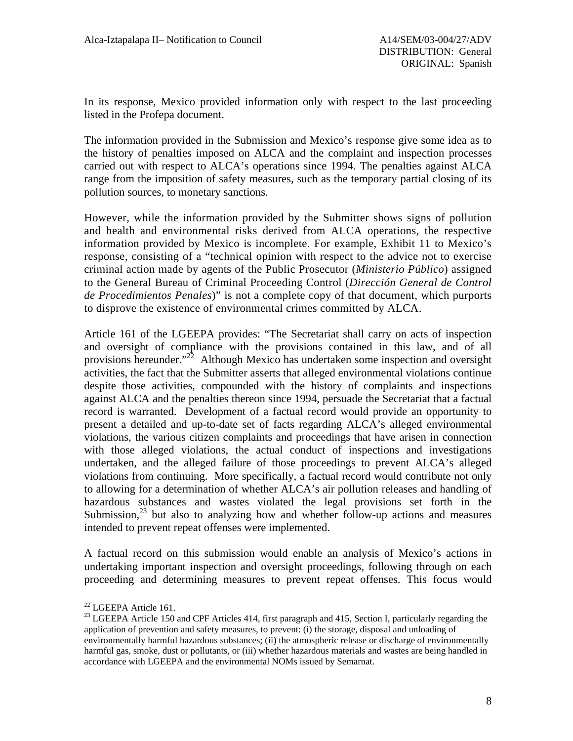In its response, Mexico provided information only with respect to the last proceeding listed in the Profepa document.

The information provided in the Submission and Mexico's response give some idea as to the history of penalties imposed on ALCA and the complaint and inspection processes carried out with respect to ALCA's operations since 1994. The penalties against ALCA range from the imposition of safety measures, such as the temporary partial closing of its pollution sources, to monetary sanctions.

However, while the information provided by the Submitter shows signs of pollution and health and environmental risks derived from ALCA operations, the respective information provided by Mexico is incomplete. For example, Exhibit 11 to Mexico's response, consisting of a "technical opinion with respect to the advice not to exercise criminal action made by agents of the Public Prosecutor (*Ministerio Público*) assigned to the General Bureau of Criminal Proceeding Control (*Dirección General de Control de Procedimientos Penales*)" is not a complete copy of that document, which purports to disprove the existence of environmental crimes committed by ALCA.

Article 161 of the LGEEPA provides: "The Secretariat shall carry on acts of inspection and oversight of compliance with the provisions contained in this law, and of all provisions hereunder."[22](#page-7-0) Although Mexico has undertaken some inspection and oversight activities, the fact that the Submitter asserts that alleged environmental violations continue despite those activities, compounded with the history of complaints and inspections against ALCA and the penalties thereon since 1994, persuade the Secretariat that a factual record is warranted. Development of a factual record would provide an opportunity to present a detailed and up-to-date set of facts regarding ALCA's alleged environmental violations, the various citizen complaints and proceedings that have arisen in connection with those alleged violations, the actual conduct of inspections and investigations undertaken, and the alleged failure of those proceedings to prevent ALCA's alleged violations from continuing. More specifically, a factual record would contribute not only to allowing for a determination of whether ALCA's air pollution releases and handling of hazardous substances and wastes violated the legal provisions set forth in the Submission, $^{23}$  but also to analyzing how and whether follow-up actions and measures intended to prevent repeat offenses were implemented.

A factual record on this submission would enable an analysis of Mexico's actions in undertaking important inspection and oversight proceedings, following through on each proceeding and determining measures to prevent repeat offenses. This focus would

<span id="page-7-0"></span><sup>&</sup>lt;sup>22</sup> LGEEPA Article 161.

<span id="page-7-1"></span> $^{23}$  LGEEPA Article 150 and CPF Articles 414, first paragraph and 415, Section I, particularly regarding the application of prevention and safety measures, to prevent: (i) the storage, disposal and unloading of environmentally harmful hazardous substances; (ii) the atmospheric release or discharge of environmentally harmful gas, smoke, dust or pollutants, or (iii) whether hazardous materials and wastes are being handled in accordance with LGEEPA and the environmental NOMs issued by Semarnat.